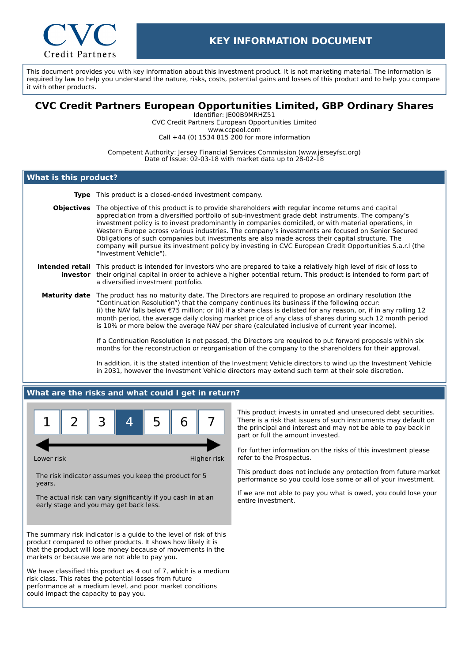

This document provides you with key information about this investment product. It is not marketing material. The information is required by law to help you understand the nature, risks, costs, potential gains and losses of this product and to help you compare it with other products.

# **CVC Credit Partners European Opportunities Limited, GBP Ordinary Shares**

Identifier: JE00B9MRHZ51 CVC Credit Partners European Opportunities Limited www.ccpeol.com Call +44 (0) 1534 815 200 for more information

Competent Authority: Jersey Financial Services Commission (www.jerseyfsc.org) Date of Issue: 02-03-18 with market data up to 28-02-18

## **What is this product?**

- **Type** This product is a closed-ended investment company.
- **Objectives** The objective of this product is to provide shareholders with regular income returns and capital appreciation from a diversified portfolio of sub-investment grade debt instruments. The company's investment policy is to invest predominantly in companies domiciled, or with material operations, in Western Europe across various industries. The company's investments are focused on Senior Secured Obligations of such companies but investments are also made across their capital structure. The company will pursue its investment policy by investing in CVC European Credit Opportunities S.a.r.l (the "Investment Vehicle").

#### **Intended retail** This product is intended for investors who are prepared to take a relatively high level of risk of loss to **investor** their original capital in order to achieve a higher potential return. This product is intended to form part of a diversified investment portfolio.

**Maturity date** The product has no maturity date. The Directors are required to propose an ordinary resolution (the "Continuation Resolution") that the company continues its business if the following occur: (i) the NAV falls below €75 million; or (ii) if a share class is delisted for any reason, or, if in any rolling 12 month period, the average daily closing market price of any class of shares during such 12 month period is 10% or more below the average NAV per share (calculated inclusive of current year income).

> If a Continuation Resolution is not passed, the Directors are required to put forward proposals within six months for the reconstruction or reorganisation of the company to the shareholders for their approval.

In addition, it is the stated intention of the Investment Vehicle directors to wind up the Investment Vehicle in 2031, however the Investment Vehicle directors may extend such term at their sole discretion.

### **What are the risks and what could I get in return?**



Lower risk **Higher risk** Higher risk

The risk indicator assumes you keep the product for 5 years.

The actual risk can vary significantly if you cash in at an early stage and you may get back less.

The summary risk indicator is a guide to the level of risk of this product compared to other products. It shows how likely it is that the product will lose money because of movements in the markets or because we are not able to pay you.

We have classified this product as 4 out of 7, which is a medium risk class. This rates the potential losses from future performance at a medium level, and poor market conditions could impact the capacity to pay you.

This product invests in unrated and unsecured debt securities. There is a risk that issuers of such instruments may default on the principal and interest and may not be able to pay back in part or full the amount invested.

For further information on the risks of this investment please refer to the Prospectus.

This product does not include any protection from future market performance so you could lose some or all of your investment.

If we are not able to pay you what is owed, you could lose your entire investment.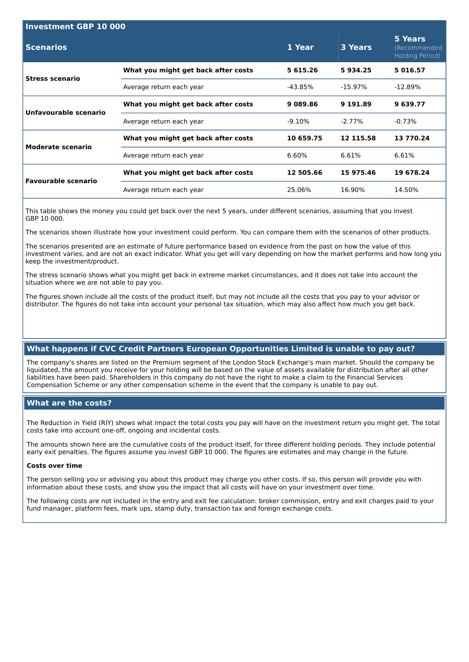| <b>Investment GBP 10 000</b> |                                     |           |            |                                            |  |  |
|------------------------------|-------------------------------------|-----------|------------|--------------------------------------------|--|--|
| <b>Scenarios</b>             |                                     | 1 Year    | 3 Years    | 5 Years<br>(Recommended<br>Holding Period) |  |  |
| <b>Stress scenario</b>       | What you might get back after costs | 5 615.26  | 5934.25    | 5016.57                                    |  |  |
|                              | Average return each year            | -43.85%   | $-15.97\%$ | $-12.89\%$                                 |  |  |
| Unfavourable scenario        | What you might get back after costs | 9 089.86  | 9 191.89   | 9639.77                                    |  |  |
|                              | Average return each year            | $-9.10\%$ | $-2.77\%$  | $-0.73\%$                                  |  |  |
| Moderate scenario            | What you might get back after costs | 10 659.75 | 12 115.58  | 13 770.24                                  |  |  |
|                              | Average return each year            | 6.60%     | 6.61%      | 6.61%                                      |  |  |
| <b>Favourable scenario</b>   | What you might get back after costs | 12 505.66 | 15 975.46  | 19 678.24                                  |  |  |
|                              | Average return each year            | 25.06%    | 16.90%     | 14.50%                                     |  |  |
|                              |                                     |           |            |                                            |  |  |

This table shows the money you could get back over the next 5 years, under different scenarios, assuming that you invest GBP 10 000.

The scenarios shown illustrate how your investment could perform. You can compare them with the scenarios of other products.

The scenarios presented are an estimate of future performance based on evidence from the past on how the value of this investment varies, and are not an exact indicator. What you get will vary depending on how the market performs and how long you keep the investment/product.

The stress scenario shows what you might get back in extreme market circumstances, and it does not take into account the situation where we are not able to pay you.

The figures shown include all the costs of the product itself, but may not include all the costs that you pay to your advisor or distributor. The figures do not take into account your personal tax situation, which may also affect how much you get back.

# **What happens if CVC Credit Partners European Opportunities Limited is unable to pay out?**

The company's shares are listed on the Premium segment of the London Stock Exchange's main market. Should the company be liquidated, the amount you receive for your holding will be based on the value of assets available for distribution after all other liabilities have been paid. Shareholders in this company do not have the right to make a claim to the Financial Services Compensation Scheme or any other compensation scheme in the event that the company is unable to pay out.

### **What are the costs?**

The Reduction in Yield (RIY) shows what impact the total costs you pay will have on the investment return you might get. The total costs take into account one-off, ongoing and incidental costs.

The amounts shown here are the cumulative costs of the product itself, for three different holding periods. They include potential early exit penalties. The figures assume you invest GBP 10 000. The figures are estimates and may change in the future.

#### **Costs over time**

The person selling you or advising you about this product may charge you other costs. If so, this person will provide you with information about these costs, and show you the impact that all costs will have on your investment over time.

The following costs are not included in the entry and exit fee calculation: broker commission, entry and exit charges paid to your fund manager, platform fees, mark ups, stamp duty, transaction tax and foreign exchange costs.